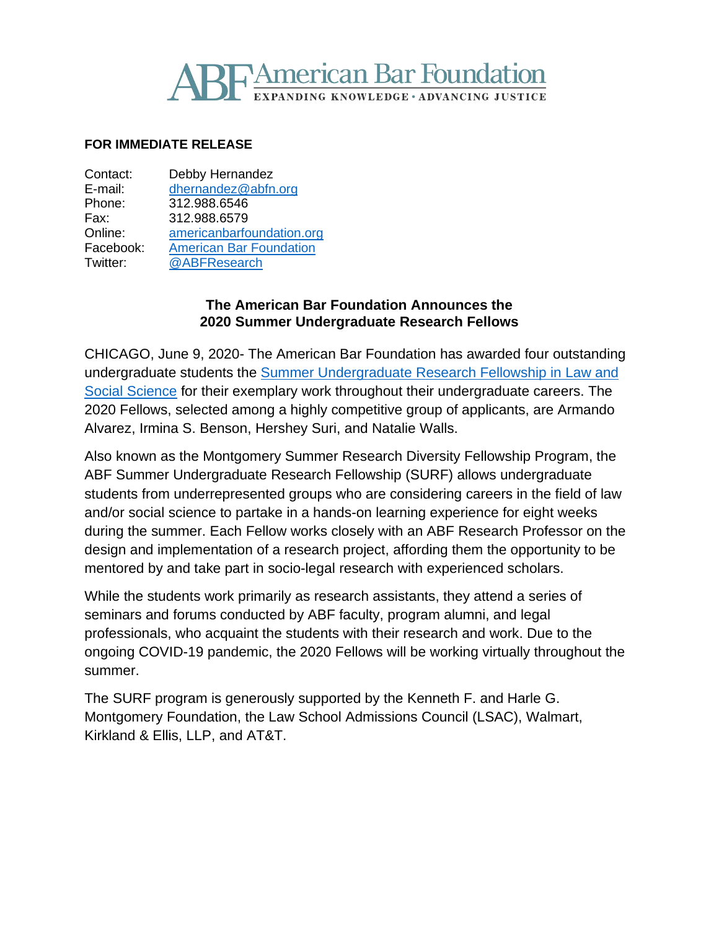# **SF American Bar Foundation**

### **FOR IMMEDIATE RELEASE**

| Debby Hernandez                |
|--------------------------------|
| dhernandez@abfn.org            |
| 312.988.6546                   |
| 312.988.6579                   |
| americanbarfoundation.org      |
| <b>American Bar Foundation</b> |
| @ABFResearch                   |
|                                |

## **The American Bar Foundation Announces the 2020 Summer Undergraduate Research Fellows**

CHICAGO, June 9, 2020- The American Bar Foundation has awarded four outstanding undergraduate students the [Summer Undergraduate Research Fellowship in Law and](http://www.americanbarfoundation.org/research/Fellowshipopportunities/SummerResearchDiversityFellowshipsinLawandSocialScience.html)  [Social Science](http://www.americanbarfoundation.org/research/Fellowshipopportunities/SummerResearchDiversityFellowshipsinLawandSocialScience.html) for their exemplary work throughout their undergraduate careers. The 2020 Fellows, selected among a highly competitive group of applicants, are Armando Alvarez, Irmina S. Benson, Hershey Suri, and Natalie Walls.

Also known as the Montgomery Summer Research Diversity Fellowship Program, the ABF Summer Undergraduate Research Fellowship (SURF) allows undergraduate students from underrepresented groups who are considering careers in the field of law and/or social science to partake in a hands-on learning experience for eight weeks during the summer. Each Fellow works closely with an ABF Research Professor on the design and implementation of a research project, affording them the opportunity to be mentored by and take part in socio-legal research with experienced scholars.

While the students work primarily as research assistants, they attend a series of seminars and forums conducted by ABF faculty, program alumni, and legal professionals, who acquaint the students with their research and work. Due to the ongoing COVID-19 pandemic, the 2020 Fellows will be working virtually throughout the summer.

The SURF program is generously supported by the Kenneth F. and Harle G. Montgomery Foundation, the Law School Admissions Council (LSAC), Walmart, Kirkland & Ellis, LLP, and AT&T.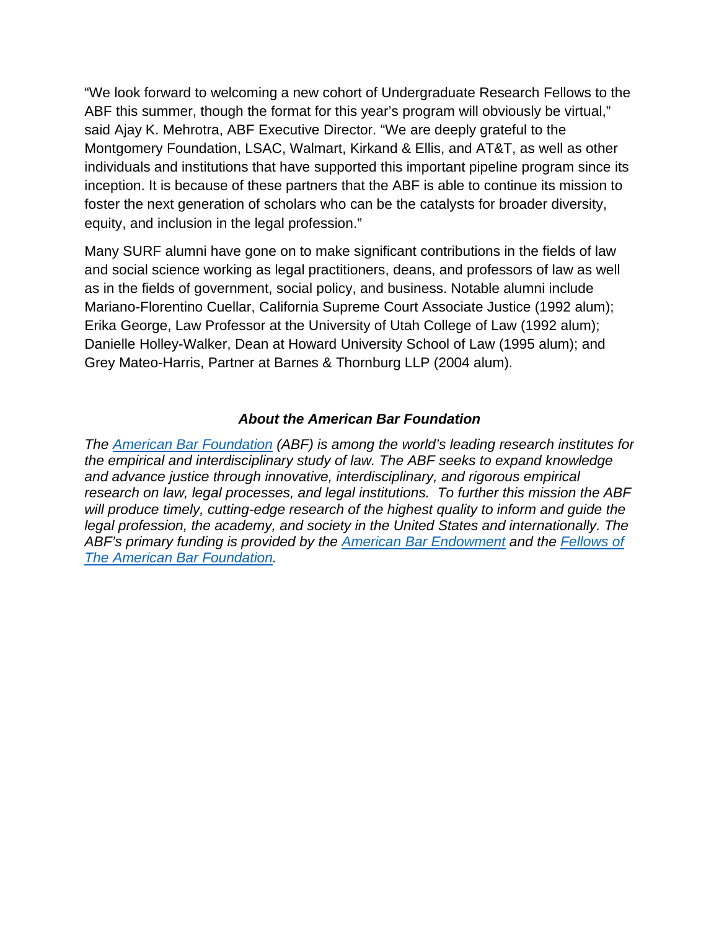"We look forward to welcoming a new cohort of Undergraduate Research Fellows to the ABF this summer, though the format for this year's program will obviously be virtual," said Ajay K. Mehrotra, ABF Executive Director. "We are deeply grateful to the Montgomery Foundation, LSAC, Walmart, Kirkand & Ellis, and AT&T, as well as other individuals and institutions that have supported this important pipeline program since its inception. It is because of these partners that the ABF is able to continue its mission to foster the next generation of scholars who can be the catalysts for broader diversity, equity, and inclusion in the legal profession."

Many SURF alumni have gone on to make significant contributions in the fields of law and social science working as legal practitioners, deans, and professors of law as well as in the fields of government, social policy, and business. Notable alumni include Mariano-Florentino Cuellar, California Supreme Court Associate Justice (1992 alum); Erika George, Law Professor at the University of Utah College of Law (1992 alum); Danielle Holley-Walker, Dean at Howard University School of Law (1995 alum); and Grey Mateo-Harris, Partner at Barnes & Thornburg LLP (2004 alum).

## *About the American Bar Foundation*

*The American Bar Foundation (ABF) is among the world's leading research institutes for the empirical and interdisciplinary study of law. The ABF seeks to expand knowledge and advance justice through innovative, interdisciplinary, and rigorous empirical research on law, legal processes, and legal institutions. To further this mission the ABF will produce timely, cutting-edge research of the highest quality to inform and guide the legal profession, the academy, and society in the United States and internationally. The ABF's primary funding is provided by the American Bar Endowment and the Fellows of The American Bar Foundation.*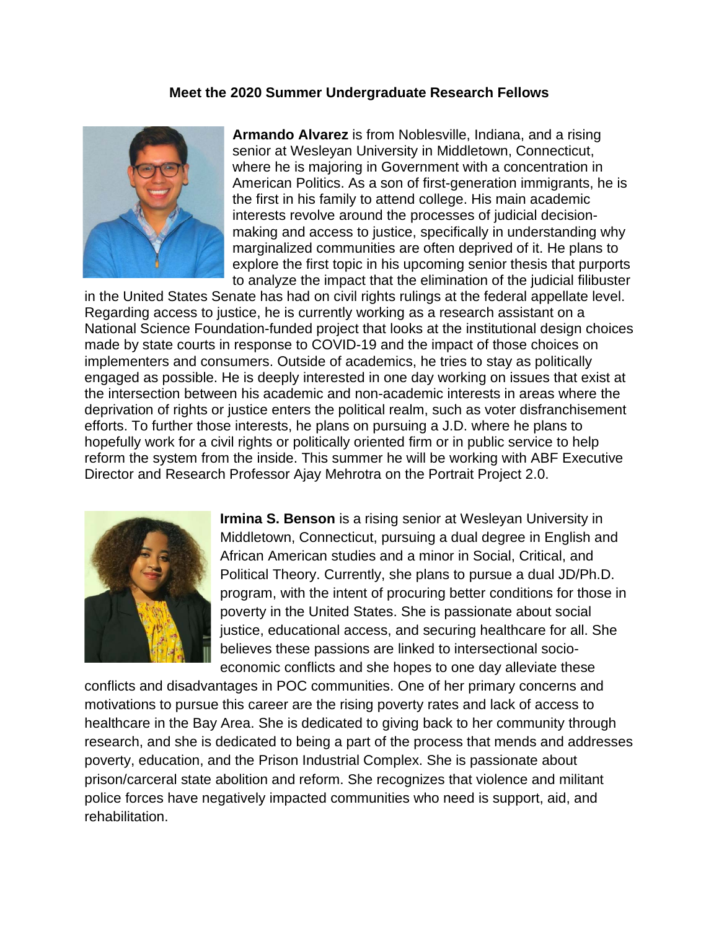### **Meet the 2020 Summer Undergraduate Research Fellows**



**Armando Alvarez** is from Noblesville, Indiana, and a rising senior at Wesleyan University in Middletown, Connecticut, where he is majoring in Government with a concentration in American Politics. As a son of first-generation immigrants, he is the first in his family to attend college. His main academic interests revolve around the processes of judicial decisionmaking and access to justice, specifically in understanding why marginalized communities are often deprived of it. He plans to explore the first topic in his upcoming senior thesis that purports to analyze the impact that the elimination of the judicial filibuster

in the United States Senate has had on civil rights rulings at the federal appellate level. Regarding access to justice, he is currently working as a research assistant on a National Science Foundation-funded project that looks at the institutional design choices made by state courts in response to COVID-19 and the impact of those choices on implementers and consumers. Outside of academics, he tries to stay as politically engaged as possible. He is deeply interested in one day working on issues that exist at the intersection between his academic and non-academic interests in areas where the deprivation of rights or justice enters the political realm, such as voter disfranchisement efforts. To further those interests, he plans on pursuing a J.D. where he plans to hopefully work for a civil rights or politically oriented firm or in public service to help reform the system from the inside. This summer he will be working with ABF Executive Director and Research Professor Ajay Mehrotra on the Portrait Project 2.0.



**Irmina S. Benson** is a rising senior at Wesleyan University in Middletown, Connecticut, pursuing a dual degree in English and African American studies and a minor in Social, Critical, and Political Theory. Currently, she plans to pursue a dual JD/Ph.D. program, with the intent of procuring better conditions for those in poverty in the United States. She is passionate about social justice, educational access, and securing healthcare for all. She believes these passions are linked to intersectional socioeconomic conflicts and she hopes to one day alleviate these

conflicts and disadvantages in POC communities. One of her primary concerns and motivations to pursue this career are the rising poverty rates and lack of access to healthcare in the Bay Area. She is dedicated to giving back to her community through research, and she is dedicated to being a part of the process that mends and addresses poverty, education, and the Prison Industrial Complex. She is passionate about prison/carceral state abolition and reform. She recognizes that violence and militant police forces have negatively impacted communities who need is support, aid, and rehabilitation.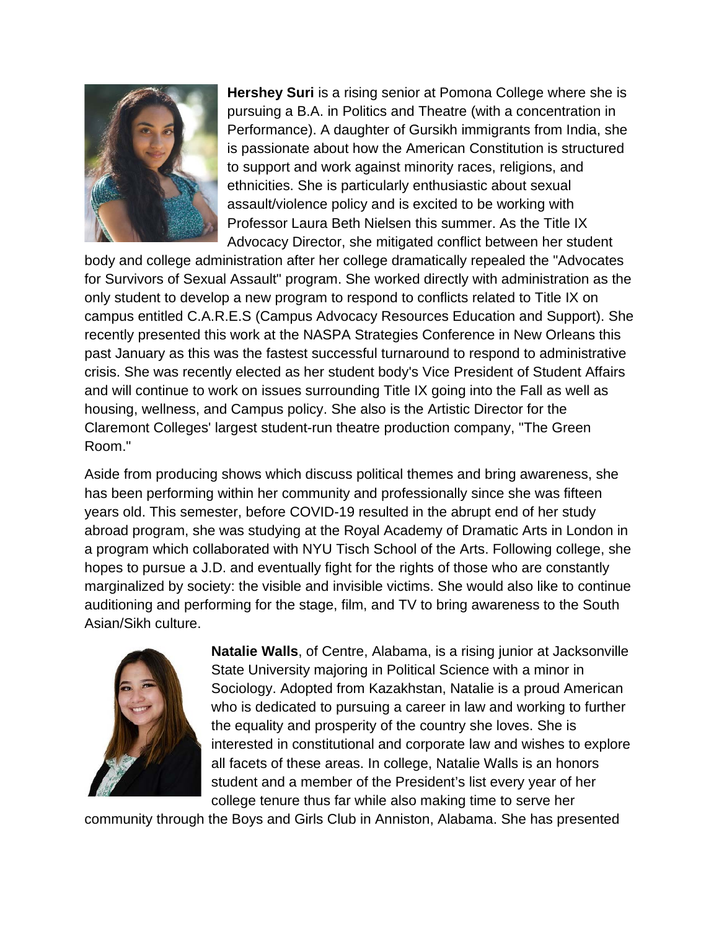

**Hershey Suri** is a rising senior at Pomona College where she is pursuing a B.A. in Politics and Theatre (with a concentration in Performance). A daughter of Gursikh immigrants from India, she is passionate about how the American Constitution is structured to support and work against minority races, religions, and ethnicities. She is particularly enthusiastic about sexual assault/violence policy and is excited to be working with Professor Laura Beth Nielsen this summer. As the Title IX Advocacy Director, she mitigated conflict between her student

body and college administration after her college dramatically repealed the "Advocates for Survivors of Sexual Assault" program. She worked directly with administration as the only student to develop a new program to respond to conflicts related to Title IX on campus entitled C.A.R.E.S (Campus Advocacy Resources Education and Support). She recently presented this work at the NASPA Strategies Conference in New Orleans this past January as this was the fastest successful turnaround to respond to administrative crisis. She was recently elected as her student body's Vice President of Student Affairs and will continue to work on issues surrounding Title IX going into the Fall as well as housing, wellness, and Campus policy. She also is the Artistic Director for the Claremont Colleges' largest student-run theatre production company, "The Green Room."

Aside from producing shows which discuss political themes and bring awareness, she has been performing within her community and professionally since she was fifteen years old. This semester, before COVID-19 resulted in the abrupt end of her study abroad program, she was studying at the Royal Academy of Dramatic Arts in London in a program which collaborated with NYU Tisch School of the Arts. Following college, she hopes to pursue a J.D. and eventually fight for the rights of those who are constantly marginalized by society: the visible and invisible victims. She would also like to continue auditioning and performing for the stage, film, and TV to bring awareness to the South Asian/Sikh culture.



**Natalie Walls**, of Centre, Alabama, is a rising junior at Jacksonville State University majoring in Political Science with a minor in Sociology. Adopted from Kazakhstan, Natalie is a proud American who is dedicated to pursuing a career in law and working to further the equality and prosperity of the country she loves. She is interested in constitutional and corporate law and wishes to explore all facets of these areas. In college, Natalie Walls is an honors student and a member of the President's list every year of her college tenure thus far while also making time to serve her

community through the Boys and Girls Club in Anniston, Alabama. She has presented